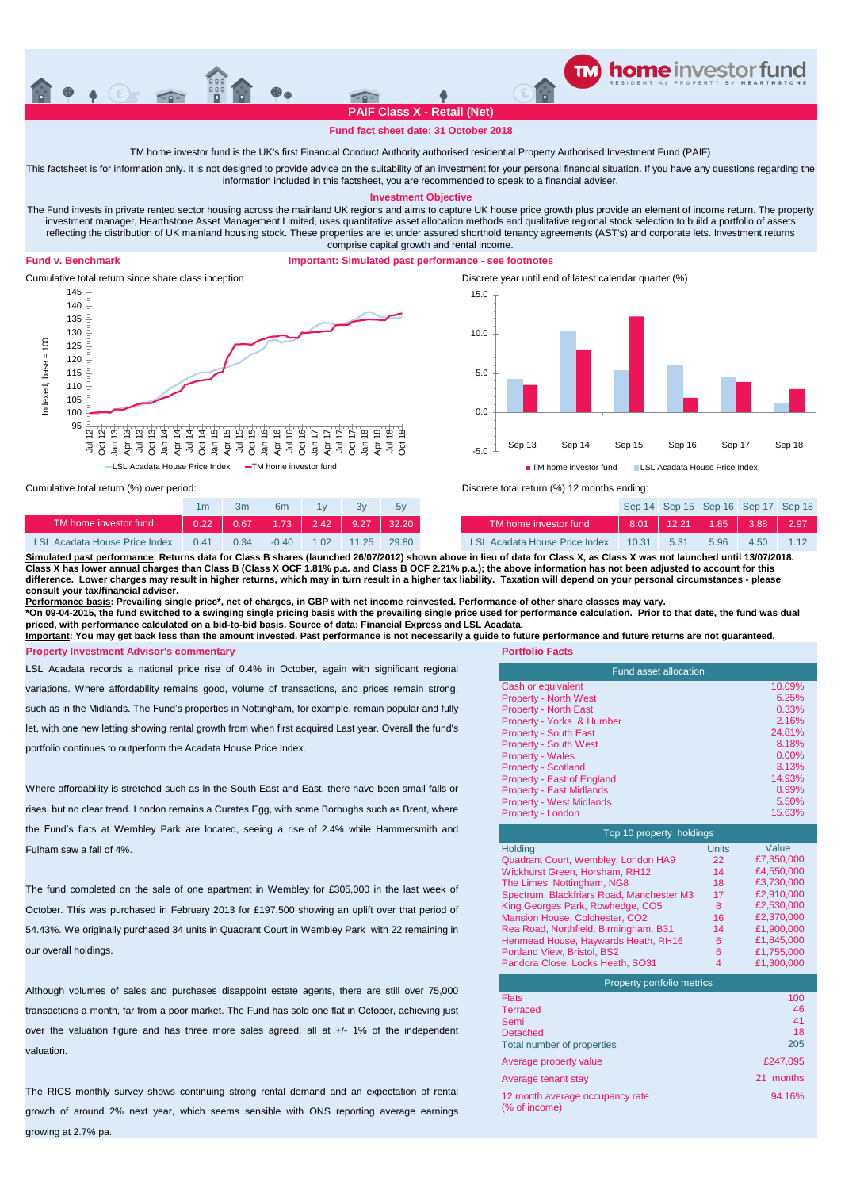

## **Fund fact sheet date: 31 October 2018**

TM home investor fund is the UK's first Financial Conduct Authority authorised residential Property Authorised Investment Fund (PAIF)

This factsheet is for information only. It is not designed to provide advice on the suitability of an investment for your personal financial situation. If you have any questions regarding the information included in this factsheet, you are recommended to speak to a financial adviser.

**Investment Objective**

The Fund invests in private rented sector housing across the mainland UK regions and aims to capture UK house price growth plus provide an element of income return. The property investment manager, Hearthstone Asset Management Limited, uses quantitative asset allocation methods and qualitative regional stock selection to build a portfolio of assets reflecting the distribution of UK mainland housing stock. These properties are let under assured shorthold tenancy agreements (AST's) and corporate lets. Investment returns comprise capital growth and rental income.

## **Fund v. Benchmark**

## **Important: Simulated past performance - see footnotes**



Discrete year until end of latest calendar quarter (%) -5.0 0.0 5.0 10.0 15.0 Sep 13 Sep 14 Sep 15 Sep 16 Sep 17 Sep 18 **TM** home investor fund LSL Acadata House Price Index

Cumulative total return (%) over period:

|                               |      |      | бm      |             |       |       |
|-------------------------------|------|------|---------|-------------|-------|-------|
| TM home investor fund         |      | 0.67 |         | $1.73$ 2.42 | 9.27  |       |
| LSL Acadata House Price Index | 0.41 | ი 34 | $-0.40$ | 1.02        | 11.25 | 29.80 |

| 1 <sub>m</sub>    | 3m   | 6 <sub>m</sub> | 1v   | 3v    | 5v                                |                               |       | Sep 14 Sep 15 Sep 16 Sep 17 Sep 18 |      |      |      |
|-------------------|------|----------------|------|-------|-----------------------------------|-------------------------------|-------|------------------------------------|------|------|------|
| 0.22 <sub>1</sub> |      |                |      |       | 0.67   1.73   2.42   9.27   32.20 | TM home investor fund         |       | $8.01$   12.21   1.85   3.88       |      |      | 2.97 |
| 0.41              | 0.34 | $-0.40$        | 1.02 | 11.25 | 29.80                             | LSL Acadata House Price Index | 10.31 | 5.31                               | 5.96 | 4.50 |      |

Discrete total return (%) 12 months ending:

<u>Simulated past performance</u>: Returns data for Class B shares (launched 26/07/2012) shown above in lieu of data for Class X, as Class X was not launched until 13/07/2018.<br>Class X has lower annual charges than Class B (Clas **difference. Lower charges may result in higher returns, which may in turn result in a higher tax liability. Taxation will depend on your personal circumstances - please consult your tax/financial adviser.**

<u>Performance basis</u>: Prevailing single price\*, net of charges, in GBP with net income reinvested. Performance of other share classes may vary.<br>\*On 09-04-2015, the fund switched to a swinging single pricing basis with the p

**priced, with performance calculated on a bid-to-bid basis. Source of data: Financial Express and LSL Acadata.**

**Portfolio Facts Property Investment Advisor's commentary Important: You may get back less than the amount invested. Past performance is not necessarily a guide to future performance and future returns are not guaranteed.**

LSL Acadata records a national price rise of 0.4% in October, again with significant regional variations. Where affordability remains good, volume of transactions, and prices remain strong, such as in the Midlands. The Fund's properties in Nottingham, for example, remain popular and fully let, with one new letting showing rental growth from when first acquired Last year. Overall the fund's portfolio continues to outperform the Acadata House Price Index.

Where affordability is stretched such as in the South East and East, there have been small falls or rises, but no clear trend. London remains a Curates Egg, with some Boroughs such as Brent, where the Fund's flats at Wembley Park are located, seeing a rise of 2.4% while Hammersmith and Fulham saw a fall of 4%.

The fund completed on the sale of one apartment in Wembley for £305,000 in the last week of October. This was purchased in February 2013 for £197,500 showing an uplift over that period of 54.43%. We originally purchased 34 units in Quadrant Court in Wembley Park with 22 remaining in our overall holdings.

Although volumes of sales and purchases disappoint estate agents, there are still over 75,000 transactions a month, far from a poor market. The Fund has sold one flat in October, achieving just over the valuation figure and has three more sales agreed, all at +/- 1% of the independent valuation.

The RICS monthly survey shows continuing strong rental demand and an expectation of rental growth of around 2% next year, which seems sensible with ONS reporting average earnings growing at 2.7% pa.

| Fund asset allocation             |          |  |  |  |  |
|-----------------------------------|----------|--|--|--|--|
| Cash or equivalent                | 10.09%   |  |  |  |  |
| <b>Property - North West</b>      | 6.25%    |  |  |  |  |
| <b>Property - North East</b>      | 0.33%    |  |  |  |  |
| Property - Yorks & Humber         | 2.16%    |  |  |  |  |
| <b>Property - South East</b>      | 24.81%   |  |  |  |  |
| <b>Property - South West</b>      | 8.18%    |  |  |  |  |
| <b>Property - Wales</b>           | $0.00\%$ |  |  |  |  |
| <b>Property - Scotland</b>        | 3.13%    |  |  |  |  |
| <b>Property - East of England</b> | 14.93%   |  |  |  |  |
| <b>Property - East Midlands</b>   | 8.99%    |  |  |  |  |
| <b>Property - West Midlands</b>   | 5.50%    |  |  |  |  |
| Property - London                 | 15.63%   |  |  |  |  |

| Top 10 property holdings                  |              |            |  |  |  |  |
|-------------------------------------------|--------------|------------|--|--|--|--|
| <b>Holding</b>                            | <b>Units</b> | Value      |  |  |  |  |
| Quadrant Court, Wembley, London HA9       | 22           | £7,350,000 |  |  |  |  |
| Wickhurst Green, Horsham, RH12            | 14           | £4,550,000 |  |  |  |  |
| The Limes, Nottingham, NG8                | 18           | £3,730,000 |  |  |  |  |
| Spectrum, Blackfriars Road, Manchester M3 | 17           | £2.910.000 |  |  |  |  |
| King Georges Park, Rowhedge, CO5          | 8            | £2,530,000 |  |  |  |  |
| Mansion House, Colchester, CO2            | 16           | £2.370.000 |  |  |  |  |
| Rea Road, Northfield, Birmingham. B31     | 14           | £1,900,000 |  |  |  |  |
| Henmead House, Haywards Heath, RH16       | 6            | £1.845.000 |  |  |  |  |
| Portland View, Bristol, BS2               | 6            | £1,755,000 |  |  |  |  |
| Pandora Close, Locks Heath, SO31          | 4            | £1,300,000 |  |  |  |  |

| Property portfolio metrics                       |              |
|--------------------------------------------------|--------------|
| <b>Flats</b>                                     | 100          |
| <b>Terraced</b>                                  | 46           |
| Semi                                             | 41           |
| Detached                                         | 18           |
| Total number of properties                       | 205          |
| Average property value                           | £247.095     |
| Average tenant stay                              | months<br>21 |
| 12 month average occupancy rate<br>(% of income) | 94.16%       |